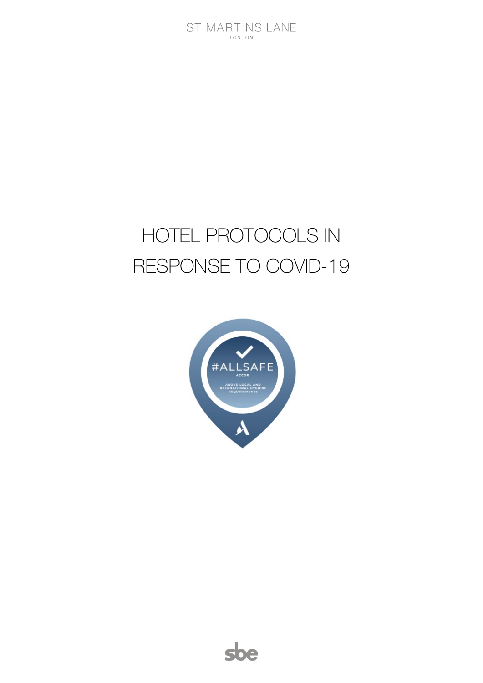# HOTEL PROTOCOLS IN RESPONSE TO COVID-19



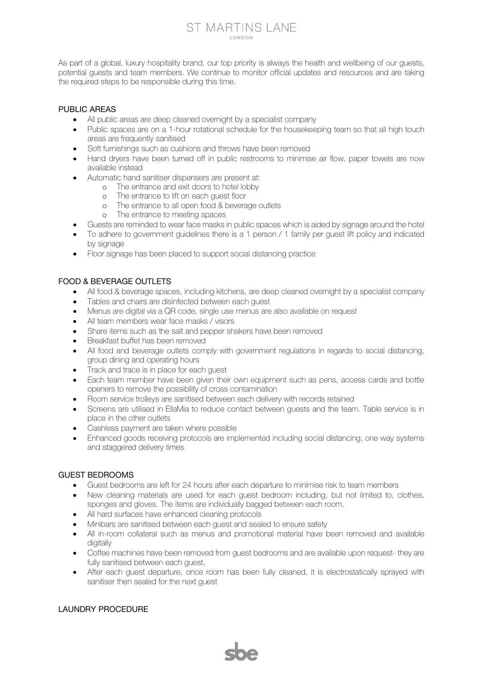## ST MARTINS LANE **LONDON**

As part of a global, luxury hospitality brand, our top priority is always the health and wellbeing of our guests, potential guests and team members. We continue to monitor official updates and resources and are taking the required steps to be responsible during this time.

## PUBLIC AREAS

- All public areas are deep cleaned overnight by a specialist company
- Public spaces are on a 1-hour rotational schedule for the housekeeping team so that all high touch areas are frequently sanitised
- Soft furnishings such as cushions and throws have been removed
- Hand dryers have been turned off in public restrooms to minimise air flow, paper towels are now available instead
- Automatic hand sanitiser dispensers are present at:
	- o The entrance and exit doors to hotel lobby<br>
	The entrance to lift on each quest floor
		- The entrance to lift on each quest floor
	- o The entrance to all open food & beverage outlets
	- o The entrance to meeting spaces
- Guests are reminded to wear face masks in public spaces which is aided by signage around the hotel
- To adhere to government guidelines there is a 1 person / 1 family per guest lift policy and indicated by signage
- Floor signage has been placed to support social distancing practice

# FOOD & BEVERAGE OUTLETS

- All food & beverage spaces, including kitchens, are deep cleaned overnight by a specialist company
- Tables and chairs are disinfected between each guest
- Menus are digital via a QR code, single use menus are also available on request
- All team members wear face masks / visors
- Share items such as the salt and pepper shakers have been removed
- Breakfast buffet has been removed
- All food and beverage outlets comply with government regulations in regards to social distancing, group dining and operating hours
- Track and trace is in place for each quest
- Each team member have been given their own equipment such as pens, access cards and bottle openers to remove the possibility of cross contamination
- Room service trolleys are sanitised between each delivery with records retained
- Screens are utilised in EllaMia to reduce contact between quests and the team. Table service is in place in the other outlets
- Cashless payment are taken where possible
- Enhanced goods receiving protocols are implemented including social distancing, one way systems and staggered delivery times

#### GUEST BEDROOMS

- Guest bedrooms are left for 24 hours after each departure to minimise risk to team members
- New cleaning materials are used for each quest bedroom including, but not limited to, clothes, sponges and gloves. The items are individually bagged between each room.
- All hard surfaces have enhanced cleaning protocols
- Minibars are sanitised between each quest and sealed to ensure safety
- All in-room collateral such as menus and promotional material have been removed and available digitally
- Coffee machines have been removed from quest bedrooms and are available upon request- they are fully sanitised between each guest.
- After each guest departure, once room has been fully cleaned, it is electrostatically sprayed with sanitiser then sealed for the next guest

# LAUNDRY PROCEDURE

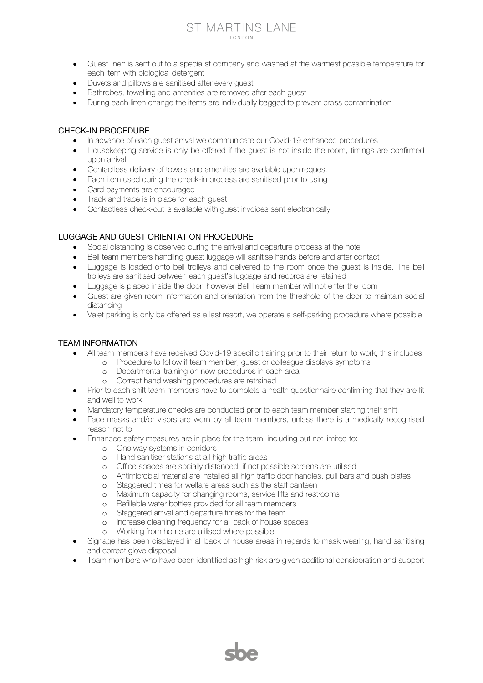### ST MARTINS LANE **LONDON**

- Guest linen is sent out to a specialist company and washed at the warmest possible temperature for each item with biological detergent
- Duvets and pillows are sanitised after every guest
- Bathrobes, towelling and amenities are removed after each guest
- During each linen change the items are individually bagged to prevent cross contamination

#### CHECK-IN PROCEDURE

- In advance of each guest arrival we communicate our Covid-19 enhanced procedures
- Housekeeping service is only be offered if the quest is not inside the room, timings are confirmed upon arrival
- Contactless delivery of towels and amenities are available upon request
- Each item used during the check-in process are sanitised prior to using
- Card payments are encouraged
- Track and trace is in place for each guest
- Contactless check-out is available with guest invoices sent electronically

## LUGGAGE AND GUEST ORIENTATION PROCEDURE

- Social distancing is observed during the arrival and departure process at the hotel
- Bell team members handling guest luggage will sanitise hands before and after contact
- Luggage is loaded onto bell trolleys and delivered to the room once the guest is inside. The bell trolleys are sanitised between each guest's luggage and records are retained
- Luggage is placed inside the door, however Bell Team member will not enter the room
- Guest are given room information and orientation from the threshold of the door to maintain social distancing
- Valet parking is only be offered as a last resort, we operate a self-parking procedure where possible

#### TEAM INFORMATION

- All team members have received Covid-19 specific training prior to their return to work, this includes:
	- o Procedure to follow if team member, guest or colleague displays symptoms
		- o Departmental training on new procedures in each area
		- o Correct hand washing procedures are retrained
- Prior to each shift team members have to complete a health questionnaire confirming that they are fit and well to work
- Mandatory temperature checks are conducted prior to each team member starting their shift
- Face masks and/or visors are wom by all team members, unless there is a medically recognised reason not to
- Enhanced safety measures are in place for the team, including but not limited to:
	- o One way systems in corridors
	- o Hand sanitiser stations at all high traffic areas
	- o Office spaces are socially distanced, if not possible screens are utilised
	- o Antimicrobial material are installed all high traffic door handles, pull bars and push plates
	- o Staggered times for welfare areas such as the staff canteen
	- o Maximum capacity for changing rooms, service lifts and restrooms
	- o Refillable water bottles provided for all team members
	- o Staggered arrival and departure times for the team
	- o Increase cleaning frequency for all back of house spaces
	- o Working from home are utilised where possible
- Signage has been displayed in all back of house areas in regards to mask wearing, hand sanitising and correct glove disposal
- Team members who have been identified as high risk are given additional consideration and support